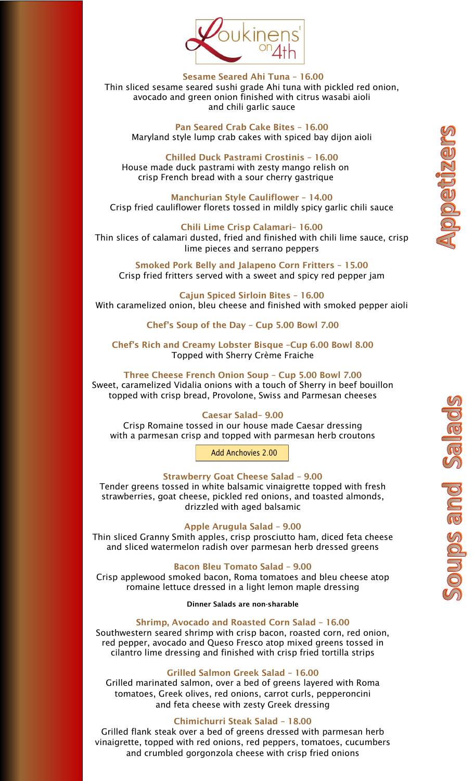

Sesame Seared Ahi Tuna – 16.00 Thin sliced sesame seared sushi grade Ahi tuna with pickled red onion, avocado and green onion finished with citrus wasabi aioli and chili garlic sauce

Pan Seared Crab Cake Bites – 16.00 Maryland style lump crab cakes with spiced bay dijon aioli

Chilled Duck Pastrami Crostinis – 16.00 House made duck pastrami with zesty mango relish on crisp French bread with a sour cherry gastrique

Manchurian Style Cauliflower – 14.00 Crisp fried cauliflower florets tossed in mildly spicy garlic chili sauce

Chili Lime Crisp Calamari– 16.00 Thin slices of calamari dusted, fried and finished with chili lime sauce, crisp lime pieces and serrano peppers

Smoked Pork Belly and Jalapeno Corn Fritters – 15.00 Crisp fried fritters served with a sweet and spicy red pepper jam

Cajun Spiced Sirloin Bites – 16.00 With caramelized onion, bleu cheese and finished with smoked pepper aioli

Chef's Soup of the Day – Cup 5.00 Bowl 7.00

Chef's Rich and Creamy Lobster Bisque –Cup 6.00 Bowl 8.00 Topped with Sherry Crème Fraiche

Three Cheese French Onion Soup – Cup 5.00 Bowl 7.00 Sweet, caramelized Vidalia onions with a touch of Sherry in beef bouillon topped with crisp bread, Provolone, Swiss and Parmesan cheeses

# Caesar Salad– 9.00

Crisp Romaine tossed in our house made Caesar dressing with a parmesan crisp and topped with parmesan herb croutons

Add Anchovies 2.00

### Strawberry Goat Cheese Salad – 9.00

Tender greens tossed in white balsamic vinaigrette topped with fresh strawberries, goat cheese, pickled red onions, and toasted almonds, drizzled with aged balsamic

### Apple Arugula Salad – 9.00

Thin sliced Granny Smith apples, crisp prosciutto ham, diced feta cheese and sliced watermelon radish over parmesan herb dressed greens

## Bacon Bleu Tomato Salad – 9.00

Crisp applewood smoked bacon, Roma tomatoes and bleu cheese atop romaine lettuce dressed in a light lemon maple dressing

Dinner Salads are non-sharable

#### Shrimp, Avocado and Roasted Corn Salad – 16.00

Southwestern seared shrimp with crisp bacon, roasted corn, red onion, red pepper, avocado and Queso Fresco atop mixed greens tossed in cilantro lime dressing and finished with crisp fried tortilla strips

#### Grilled Salmon Greek Salad – 16.00

Grilled marinated salmon, over a bed of greens layered with Roma tomatoes, Greek olives, red onions, carrot curls, pepperoncini and feta cheese with zesty Greek dressing

## Chimichurri Steak Salad – 18.00

Grilled flank steak over a bed of greens dressed with parmesan herb vinaigrette, topped with red onions, red peppers, tomatoes, cucumbers and crumbled gorgonzola cheese with crisp fried onions

**BZQGGGGGC**